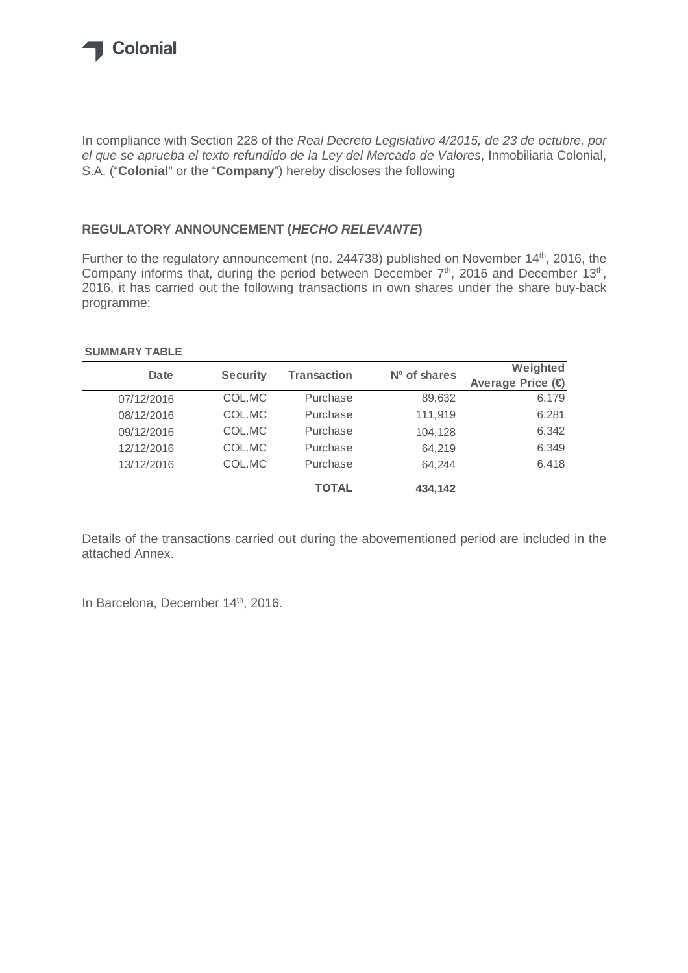

In compliance with Section 228 of the Real Decreto Legislativo 4/2015, de 23 de octubre, por el que se aprueba el texto refundido de la Ley del Mercado de Valores, Inmobiliaria Colonial, S.A. ("**Colonial**" or the "**Company**") hereby discloses the following

### **REGULATORY ANNOUNCEMENT (HECHO RELEVANTE)**

Further to the regulatory announcement (no. 244738) published on November 14<sup>th</sup>, 2016, the Company informs that, during the period between December  $7<sup>th</sup>$ , 2016 and December 13<sup>th</sup>, 2016, it has carried out the following transactions in own shares under the share buy-back programme:

#### **SUMMARY TABLE**

| Date       | <b>Security</b> | <b>Transaction</b> | $No$ of shares | Weighted                   |
|------------|-----------------|--------------------|----------------|----------------------------|
|            |                 |                    |                | Average Price $(\epsilon)$ |
| 07/12/2016 | COL.MC          | Purchase           | 89,632         | 6.179                      |
| 08/12/2016 | COL.MC          | Purchase           | 111,919        | 6.281                      |
| 09/12/2016 | COL.MC          | Purchase           | 104,128        | 6.342                      |
| 12/12/2016 | COL.MC          | Purchase           | 64,219         | 6.349                      |
| 13/12/2016 | COL.MC          | Purchase           | 64.244         | 6.418                      |
|            |                 | <b>TOTAL</b>       | 434,142        |                            |

Details of the transactions carried out during the abovementioned period are included in the attached Annex.

In Barcelona, December 14<sup>th</sup>, 2016.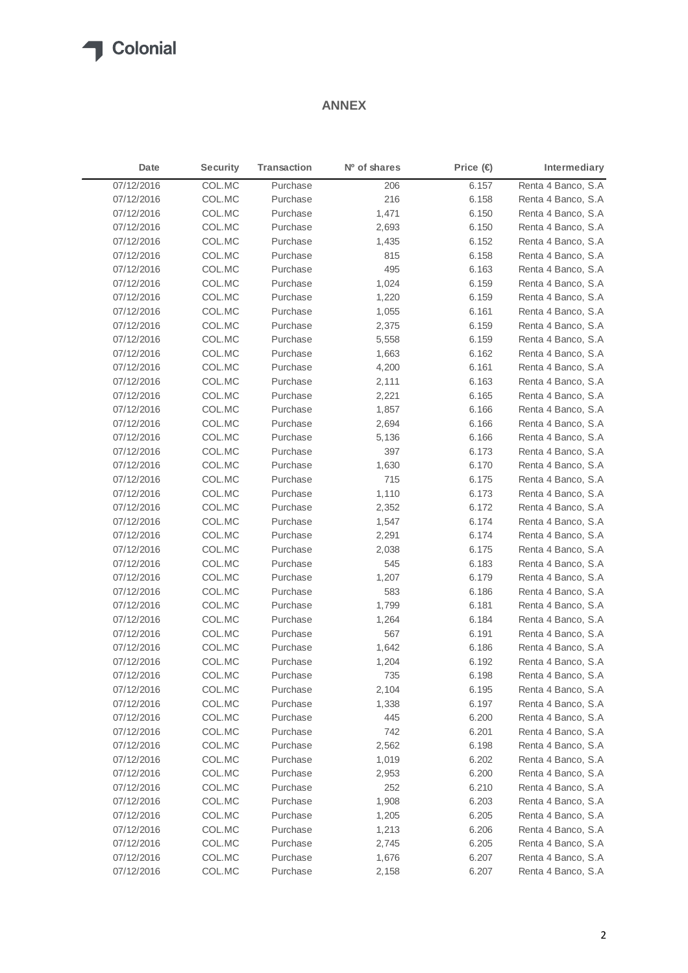## Colonial

### **ANNEX**

| Date       | <b>Security</b> | <b>Transaction</b> | Nº of shares | Price $(\in)$ | Intermediary        |
|------------|-----------------|--------------------|--------------|---------------|---------------------|
| 07/12/2016 | COL.MC          | Purchase           | 206          | 6.157         | Renta 4 Banco, S.A  |
| 07/12/2016 | COL.MC          | Purchase           | 216          | 6.158         | Renta 4 Banco, S.A  |
| 07/12/2016 | COL.MC          | Purchase           | 1,471        | 6.150         | Renta 4 Banco, S.A. |
| 07/12/2016 | COL.MC          | Purchase           | 2,693        | 6.150         | Renta 4 Banco, S.A  |
| 07/12/2016 | COL.MC          | Purchase           | 1,435        | 6.152         | Renta 4 Banco, S.A  |
| 07/12/2016 | COL.MC          | Purchase           | 815          | 6.158         | Renta 4 Banco, S.A. |
| 07/12/2016 | COL.MC          | Purchase           | 495          | 6.163         | Renta 4 Banco, S.A  |
| 07/12/2016 | COL.MC          | Purchase           | 1,024        | 6.159         | Renta 4 Banco, S.A  |
| 07/12/2016 | COL.MC          | Purchase           | 1,220        | 6.159         | Renta 4 Banco, S.A. |
| 07/12/2016 | COL.MC          | Purchase           | 1,055        | 6.161         | Renta 4 Banco, S.A  |
| 07/12/2016 | COL.MC          | Purchase           | 2,375        | 6.159         | Renta 4 Banco, S.A. |
| 07/12/2016 | COL.MC          | Purchase           | 5,558        | 6.159         | Renta 4 Banco, S.A. |
| 07/12/2016 | COL.MC          | Purchase           | 1,663        | 6.162         | Renta 4 Banco, S.A  |
| 07/12/2016 | COL.MC          | Purchase           | 4,200        | 6.161         | Renta 4 Banco, S.A  |
| 07/12/2016 | COL.MC          | Purchase           | 2,111        | 6.163         | Renta 4 Banco, S.A. |
| 07/12/2016 | COL.MC          | Purchase           | 2,221        | 6.165         | Renta 4 Banco, S.A  |
| 07/12/2016 | COL.MC          | Purchase           | 1,857        | 6.166         | Renta 4 Banco, S.A  |
| 07/12/2016 | COL.MC          | Purchase           | 2,694        | 6.166         | Renta 4 Banco, S.A. |
| 07/12/2016 | COL.MC          | Purchase           | 5,136        | 6.166         | Renta 4 Banco, S.A  |
| 07/12/2016 | COL.MC          | Purchase           | 397          | 6.173         | Renta 4 Banco, S.A  |
| 07/12/2016 | COL.MC          | Purchase           | 1,630        | 6.170         | Renta 4 Banco, S.A  |
| 07/12/2016 | COL.MC          | Purchase           | 715          | 6.175         | Renta 4 Banco, S.A  |
| 07/12/2016 | COL.MC          | Purchase           | 1,110        | 6.173         | Renta 4 Banco, S.A. |
| 07/12/2016 | COL.MC          | Purchase           | 2,352        | 6.172         | Renta 4 Banco, S.A. |
| 07/12/2016 | COL.MC          | Purchase           | 1,547        | 6.174         | Renta 4 Banco, S.A  |
| 07/12/2016 | COL.MC          | Purchase           | 2,291        | 6.174         | Renta 4 Banco, S.A  |
| 07/12/2016 | COL.MC          | Purchase           | 2,038        | 6.175         | Renta 4 Banco, S.A. |
| 07/12/2016 | COL.MC          | Purchase           | 545          | 6.183         | Renta 4 Banco, S.A  |
| 07/12/2016 | COL.MC          | Purchase           | 1,207        | 6.179         | Renta 4 Banco, S.A  |
| 07/12/2016 | COL.MC          | Purchase           | 583          | 6.186         | Renta 4 Banco, S.A. |
| 07/12/2016 | COL.MC          | Purchase           | 1,799        | 6.181         | Renta 4 Banco, S.A  |
| 07/12/2016 | COL.MC          | Purchase           | 1,264        | 6.184         | Renta 4 Banco, S.A  |
| 07/12/2016 | COL.MC          | Purchase           | 567          | 6.191         | Renta 4 Banco, S.A. |
| 07/12/2016 | COL.MC          | Purchase           | 1,642        | 6.186         | Renta 4 Banco, S.A  |
| 07/12/2016 | COL.MC          | Purchase           | 1,204        | 6.192         | Renta 4 Banco, S.A  |
| 07/12/2016 | COL.MC          | Purchase           | 735          | 6.198         | Renta 4 Banco, S.A  |
| 07/12/2016 | COL.MC          | Purchase           | 2,104        | 6.195         | Renta 4 Banco, S.A  |
| 07/12/2016 | COL.MC          | Purchase           | 1,338        | 6.197         | Renta 4 Banco, S.A  |
| 07/12/2016 | COL.MC          | Purchase           | 445          | 6.200         | Renta 4 Banco, S.A  |
| 07/12/2016 | COL.MC          | Purchase           | 742          | 6.201         | Renta 4 Banco, S.A  |
| 07/12/2016 | COL.MC          | Purchase           | 2,562        | 6.198         | Renta 4 Banco, S.A  |
| 07/12/2016 | COL.MC          | Purchase           | 1,019        | 6.202         | Renta 4 Banco, S.A  |
| 07/12/2016 | COL.MC          | Purchase           | 2,953        | 6.200         | Renta 4 Banco, S.A  |
| 07/12/2016 | COL.MC          | Purchase           | 252          | 6.210         | Renta 4 Banco, S.A  |
| 07/12/2016 | COL.MC          | Purchase           | 1,908        | 6.203         | Renta 4 Banco, S.A  |
| 07/12/2016 | COL.MC          | Purchase           | 1,205        | 6.205         | Renta 4 Banco, S.A  |
| 07/12/2016 | COL.MC          | Purchase           | 1,213        | 6.206         | Renta 4 Banco, S.A. |
| 07/12/2016 | COL.MC          | Purchase           | 2,745        | 6.205         | Renta 4 Banco, S.A  |
| 07/12/2016 | COL.MC          | Purchase           | 1,676        | 6.207         | Renta 4 Banco, S.A  |
| 07/12/2016 | COL.MC          | Purchase           | 2,158        | 6.207         | Renta 4 Banco, S.A  |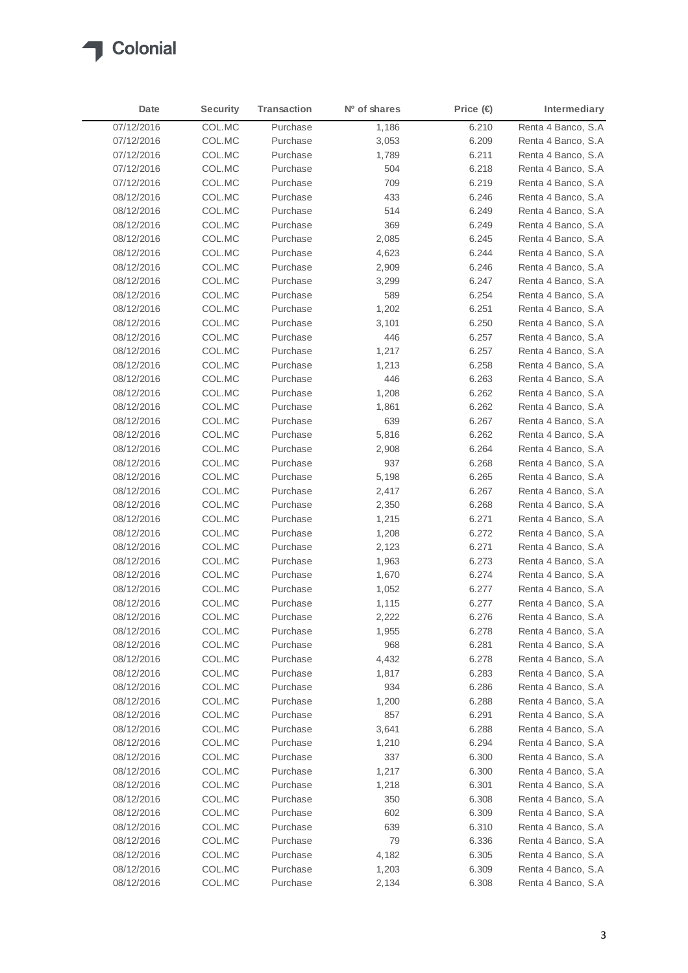

| Date       | <b>Security</b> | <b>Transaction</b> | N <sup>o</sup> of shares | Price $(\in)$ | Intermediary        |
|------------|-----------------|--------------------|--------------------------|---------------|---------------------|
| 07/12/2016 | COL.MC          | Purchase           | 1,186                    | 6.210         | Renta 4 Banco, S.A  |
| 07/12/2016 | COL.MC          | Purchase           | 3,053                    | 6.209         | Renta 4 Banco, S.A  |
| 07/12/2016 | COL.MC          | Purchase           | 1,789                    | 6.211         | Renta 4 Banco, S.A  |
| 07/12/2016 | COL.MC          | Purchase           | 504                      | 6.218         | Renta 4 Banco, S.A  |
| 07/12/2016 | COL.MC          | Purchase           | 709                      | 6.219         | Renta 4 Banco, S.A  |
| 08/12/2016 | COL.MC          | Purchase           | 433                      | 6.246         | Renta 4 Banco, S.A  |
| 08/12/2016 | COL.MC          | Purchase           | 514                      | 6.249         | Renta 4 Banco, S.A  |
| 08/12/2016 | COL.MC          | Purchase           | 369                      | 6.249         | Renta 4 Banco, S.A. |
| 08/12/2016 | COL.MC          | Purchase           | 2,085                    | 6.245         | Renta 4 Banco, S.A. |
| 08/12/2016 | COL.MC          | Purchase           | 4,623                    | 6.244         | Renta 4 Banco, S.A  |
| 08/12/2016 | COL.MC          | Purchase           | 2,909                    | 6.246         | Renta 4 Banco, S.A. |
| 08/12/2016 | COL.MC          | Purchase           | 3,299                    | 6.247         | Renta 4 Banco, S.A  |
| 08/12/2016 | COL.MC          | Purchase           | 589                      | 6.254         | Renta 4 Banco, S.A  |
| 08/12/2016 | COL.MC          | Purchase           | 1,202                    | 6.251         | Renta 4 Banco, S.A  |
| 08/12/2016 | COL.MC          | Purchase           | 3,101                    | 6.250         | Renta 4 Banco, S.A  |
| 08/12/2016 | COL.MC          | Purchase           | 446                      | 6.257         | Renta 4 Banco, S.A  |
| 08/12/2016 | COL.MC          | Purchase           | 1,217                    | 6.257         | Renta 4 Banco, S.A  |
| 08/12/2016 | COL.MC          | Purchase           | 1,213                    | 6.258         | Renta 4 Banco, S.A. |
| 08/12/2016 | COL.MC          | Purchase           | 446                      | 6.263         | Renta 4 Banco, S.A  |
| 08/12/2016 | COL.MC          | Purchase           | 1,208                    | 6.262         | Renta 4 Banco, S.A  |
| 08/12/2016 | COL.MC          | Purchase           | 1,861                    | 6.262         | Renta 4 Banco, S.A  |
| 08/12/2016 | COL.MC          | Purchase           | 639                      | 6.267         | Renta 4 Banco, S.A  |
| 08/12/2016 | COL.MC          | Purchase           | 5,816                    | 6.262         | Renta 4 Banco, S.A  |
| 08/12/2016 | COL.MC          | Purchase           | 2,908                    | 6.264         | Renta 4 Banco, S.A  |
| 08/12/2016 | COL.MC          | Purchase           | 937                      | 6.268         | Renta 4 Banco, S.A  |
| 08/12/2016 | COL.MC          | Purchase           | 5,198                    | 6.265         | Renta 4 Banco, S.A  |
| 08/12/2016 | COL.MC          | Purchase           | 2,417                    | 6.267         | Renta 4 Banco, S.A  |
| 08/12/2016 | COL.MC          | Purchase           | 2,350                    | 6.268         | Renta 4 Banco, S.A  |
| 08/12/2016 | COL.MC          | Purchase           | 1,215                    | 6.271         | Renta 4 Banco, S.A  |
| 08/12/2016 | COL.MC          | Purchase           | 1,208                    | 6.272         | Renta 4 Banco, S.A  |
| 08/12/2016 | COL.MC          | Purchase           | 2,123                    | 6.271         | Renta 4 Banco, S.A  |
| 08/12/2016 | COL.MC          | Purchase           | 1,963                    | 6.273         | Renta 4 Banco, S.A  |
| 08/12/2016 | COL.MC          | Purchase           | 1,670                    | 6.274         | Renta 4 Banco, S.A  |
| 08/12/2016 | COL.MC          | Purchase           | 1,052                    | 6.277         | Renta 4 Banco, S.A  |
| 08/12/2016 | COL.MC          | Purchase           | 1,115                    | 6.277         | Renta 4 Banco, S.A  |
| 08/12/2016 | COL.MC          | Purchase           | 2,222                    | 6.276         | Renta 4 Banco, S.A  |
| 08/12/2016 | COL.MC          | Purchase           | 1,955                    | 6.278         | Renta 4 Banco, S.A  |
| 08/12/2016 | COL.MC          | Purchase           | 968                      | 6.281         | Renta 4 Banco, S.A  |
| 08/12/2016 | COL.MC          | Purchase           | 4,432                    | 6.278         | Renta 4 Banco, S.A  |
| 08/12/2016 | COL.MC          | Purchase           | 1,817                    | 6.283         | Renta 4 Banco, S.A. |
| 08/12/2016 | COL.MC          | Purchase           | 934                      | 6.286         | Renta 4 Banco, S.A  |
| 08/12/2016 | COL.MC          | Purchase           | 1,200                    | 6.288         | Renta 4 Banco, S.A  |
| 08/12/2016 | COL.MC          | Purchase           | 857                      | 6.291         | Renta 4 Banco, S.A  |
| 08/12/2016 | COL.MC          | Purchase           | 3,641                    | 6.288         | Renta 4 Banco, S.A  |
| 08/12/2016 | COL.MC          | Purchase           | 1,210                    | 6.294         | Renta 4 Banco, S.A. |
| 08/12/2016 | COL.MC          | Purchase           | 337                      | 6.300         | Renta 4 Banco, S.A  |
| 08/12/2016 | COL.MC          | Purchase           | 1,217                    | 6.300         | Renta 4 Banco, S.A  |
| 08/12/2016 | COL.MC          | Purchase           | 1,218                    | 6.301         | Renta 4 Banco, S.A  |
| 08/12/2016 | COL.MC          | Purchase           | 350                      | 6.308         | Renta 4 Banco, S.A  |
| 08/12/2016 | COL.MC          | Purchase           | 602                      | 6.309         | Renta 4 Banco, S.A  |
| 08/12/2016 | COL.MC          | Purchase           | 639                      | 6.310         | Renta 4 Banco, S.A  |
| 08/12/2016 | COL.MC          | Purchase           | 79                       | 6.336         | Renta 4 Banco, S.A  |
| 08/12/2016 | COL.MC          | Purchase           | 4,182                    | 6.305         | Renta 4 Banco, S.A  |
| 08/12/2016 | COL.MC          | Purchase           | 1,203                    | 6.309         | Renta 4 Banco, S.A  |
| 08/12/2016 | COL.MC          | Purchase           | 2,134                    | 6.308         | Renta 4 Banco, S.A  |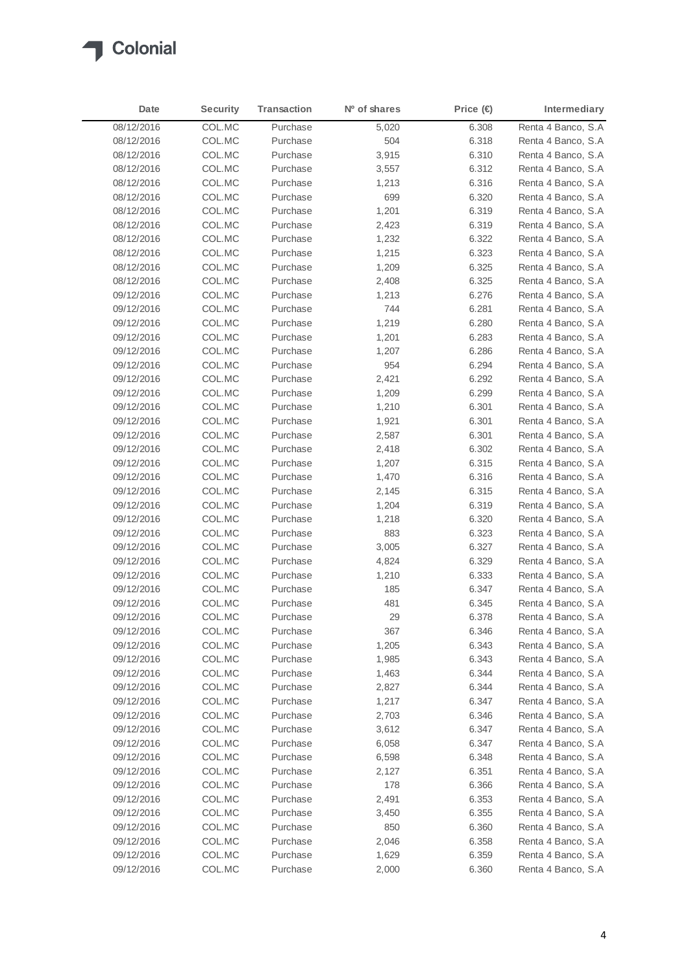

| Date       | <b>Security</b> | <b>Transaction</b> | N <sup>o</sup> of shares | Price $(\in)$ | Intermediary        |
|------------|-----------------|--------------------|--------------------------|---------------|---------------------|
| 08/12/2016 | COL.MC          | Purchase           | 5,020                    | 6.308         | Renta 4 Banco, S.A  |
| 08/12/2016 | COL.MC          | Purchase           | 504                      | 6.318         | Renta 4 Banco, S.A  |
| 08/12/2016 | COL.MC          | Purchase           | 3,915                    | 6.310         | Renta 4 Banco, S.A  |
| 08/12/2016 | COL.MC          | Purchase           | 3,557                    | 6.312         | Renta 4 Banco, S.A  |
| 08/12/2016 | COL.MC          | Purchase           | 1,213                    | 6.316         | Renta 4 Banco, S.A  |
| 08/12/2016 | COL.MC          | Purchase           | 699                      | 6.320         | Renta 4 Banco, S.A  |
| 08/12/2016 | COL.MC          | Purchase           | 1,201                    | 6.319         | Renta 4 Banco, S.A  |
| 08/12/2016 | COL.MC          | Purchase           | 2,423                    | 6.319         | Renta 4 Banco, S.A  |
| 08/12/2016 | COL.MC          | Purchase           | 1,232                    | 6.322         | Renta 4 Banco, S.A  |
| 08/12/2016 | COL.MC          | Purchase           | 1,215                    | 6.323         | Renta 4 Banco, S.A  |
| 08/12/2016 | COL.MC          | Purchase           | 1,209                    | 6.325         | Renta 4 Banco, S.A  |
| 08/12/2016 | COL.MC          | Purchase           | 2,408                    | 6.325         | Renta 4 Banco, S.A  |
| 09/12/2016 | COL.MC          | Purchase           | 1,213                    | 6.276         | Renta 4 Banco, S.A  |
| 09/12/2016 | COL.MC          | Purchase           | 744                      | 6.281         | Renta 4 Banco, S.A  |
| 09/12/2016 | COL.MC          | Purchase           | 1,219                    | 6.280         | Renta 4 Banco, S.A  |
| 09/12/2016 | COL.MC          | Purchase           | 1,201                    | 6.283         | Renta 4 Banco, S.A  |
| 09/12/2016 | COL.MC          | Purchase           | 1,207                    | 6.286         | Renta 4 Banco, S.A  |
| 09/12/2016 | COL.MC          | Purchase           | 954                      | 6.294         | Renta 4 Banco, S.A  |
| 09/12/2016 | COL.MC          | Purchase           | 2,421                    | 6.292         | Renta 4 Banco, S.A  |
| 09/12/2016 | COL.MC          | Purchase           | 1,209                    | 6.299         | Renta 4 Banco, S.A  |
| 09/12/2016 | COL.MC          | Purchase           | 1,210                    | 6.301         | Renta 4 Banco, S.A  |
| 09/12/2016 | COL.MC          | Purchase           | 1,921                    | 6.301         | Renta 4 Banco, S.A. |
| 09/12/2016 | COL.MC          | Purchase           | 2,587                    | 6.301         | Renta 4 Banco, S.A  |
| 09/12/2016 | COL.MC          | Purchase           | 2,418                    | 6.302         | Renta 4 Banco, S.A  |
| 09/12/2016 | COL.MC          | Purchase           | 1,207                    | 6.315         | Renta 4 Banco, S.A  |
| 09/12/2016 | COL.MC          | Purchase           | 1,470                    | 6.316         | Renta 4 Banco, S.A  |
| 09/12/2016 | COL.MC          | Purchase           | 2,145                    | 6.315         | Renta 4 Banco, S.A  |
| 09/12/2016 | COL.MC          | Purchase           | 1,204                    | 6.319         | Renta 4 Banco, S.A  |
| 09/12/2016 | COL.MC          | Purchase           | 1,218                    | 6.320         | Renta 4 Banco, S.A  |
| 09/12/2016 | COL.MC          | Purchase           | 883                      | 6.323         | Renta 4 Banco, S.A  |
| 09/12/2016 | COL.MC          | Purchase           | 3,005                    | 6.327         | Renta 4 Banco, S.A. |
| 09/12/2016 | COL.MC          | Purchase           | 4,824                    | 6.329         | Renta 4 Banco, S.A  |
| 09/12/2016 | COL.MC          | Purchase           | 1,210                    | 6.333         | Renta 4 Banco, S.A  |
| 09/12/2016 | COL.MC          | Purchase           | 185                      | 6.347         | Renta 4 Banco, S.A  |
| 09/12/2016 | COL.MC          | Purchase           | 481                      | 6.345         | Renta 4 Banco, S.A  |
| 09/12/2016 | COL.MC          | Purchase           | 29                       | 6.378         | Renta 4 Banco, S.A  |
| 09/12/2016 | COL.MC          | Purchase           | 367                      | 6.346         | Renta 4 Banco, S.A  |
| 09/12/2016 | COL.MC          | Purchase           | 1,205                    | 6.343         | Renta 4 Banco, S.A  |
| 09/12/2016 | COL.MC          | Purchase           | 1,985                    | 6.343         | Renta 4 Banco, S.A  |
| 09/12/2016 | COL.MC          | Purchase           | 1,463                    | 6.344         | Renta 4 Banco, S.A  |
| 09/12/2016 | COL.MC          | Purchase           | 2,827                    | 6.344         | Renta 4 Banco, S.A  |
| 09/12/2016 | COL.MC          | Purchase           | 1,217                    | 6.347         | Renta 4 Banco, S.A  |
| 09/12/2016 | COL.MC          | Purchase           | 2,703                    | 6.346         | Renta 4 Banco, S.A  |
| 09/12/2016 | COL.MC          | Purchase           | 3,612                    | 6.347         | Renta 4 Banco, S.A  |
| 09/12/2016 | COL.MC          | Purchase           | 6,058                    | 6.347         | Renta 4 Banco, S.A  |
| 09/12/2016 | COL.MC          | Purchase           | 6,598                    | 6.348         | Renta 4 Banco, S.A  |
| 09/12/2016 | COL.MC          | Purchase           | 2,127                    | 6.351         | Renta 4 Banco, S.A  |
| 09/12/2016 | COL.MC          | Purchase           | 178                      | 6.366         | Renta 4 Banco, S.A  |
| 09/12/2016 | COL.MC          | Purchase           | 2,491                    | 6.353         | Renta 4 Banco, S.A  |
| 09/12/2016 | COL.MC          | Purchase           | 3,450                    | 6.355         | Renta 4 Banco, S.A  |
| 09/12/2016 | COL.MC          | Purchase           | 850                      | 6.360         | Renta 4 Banco, S.A  |
| 09/12/2016 | COL.MC          | Purchase           | 2,046                    | 6.358         | Renta 4 Banco, S.A  |
| 09/12/2016 | COL.MC          | Purchase           | 1,629                    | 6.359         | Renta 4 Banco, S.A  |
| 09/12/2016 | COL.MC          | Purchase           | 2,000                    | 6.360         | Renta 4 Banco, S.A  |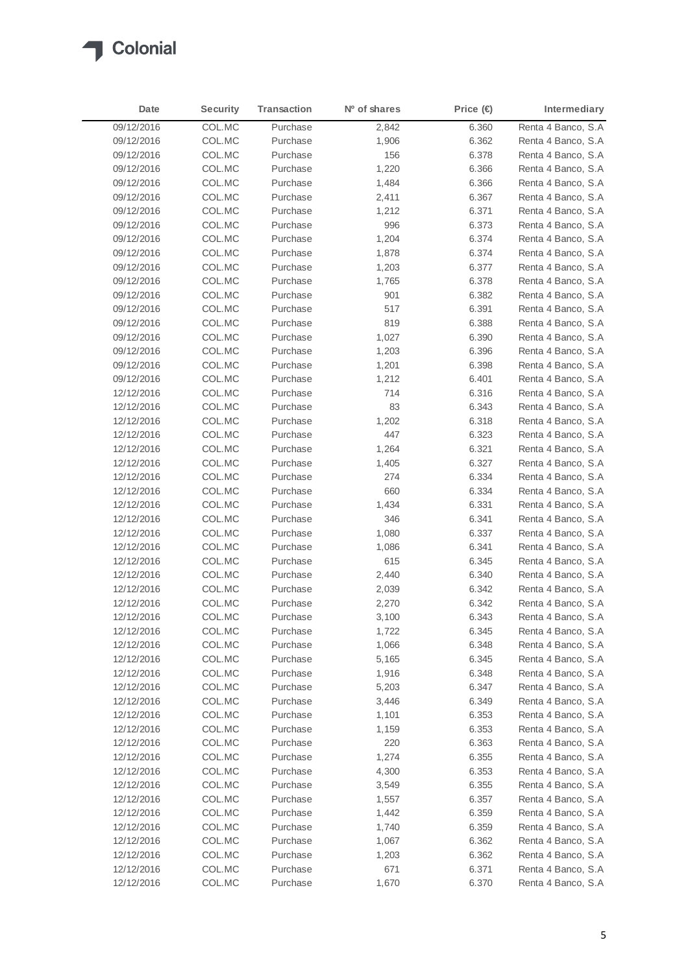

| Date       | <b>Security</b> | <b>Transaction</b> | N <sup>o</sup> of shares | Price $(\in)$ | Intermediary        |
|------------|-----------------|--------------------|--------------------------|---------------|---------------------|
| 09/12/2016 | COL.MC          | Purchase           | 2,842                    | 6.360         | Renta 4 Banco, S.A  |
| 09/12/2016 | COL.MC          | Purchase           | 1,906                    | 6.362         | Renta 4 Banco, S.A. |
| 09/12/2016 | COL.MC          | Purchase           | 156                      | 6.378         | Renta 4 Banco, S.A. |
| 09/12/2016 | COL.MC          | Purchase           | 1,220                    | 6.366         | Renta 4 Banco, S.A. |
| 09/12/2016 | COL.MC          | Purchase           | 1,484                    | 6.366         | Renta 4 Banco, S.A. |
| 09/12/2016 | COL.MC          | Purchase           | 2,411                    | 6.367         | Renta 4 Banco, S.A. |
| 09/12/2016 | COL.MC          | Purchase           | 1,212                    | 6.371         | Renta 4 Banco, S.A  |
| 09/12/2016 | COL.MC          | Purchase           | 996                      | 6.373         | Renta 4 Banco, S.A. |
| 09/12/2016 | COL.MC          | Purchase           | 1,204                    | 6.374         | Renta 4 Banco, S.A. |
| 09/12/2016 | COL.MC          | Purchase           | 1,878                    | 6.374         | Renta 4 Banco, S.A  |
| 09/12/2016 | COL.MC          | Purchase           | 1,203                    | 6.377         | Renta 4 Banco, S.A. |
| 09/12/2016 | COL.MC          | Purchase           | 1,765                    | 6.378         | Renta 4 Banco, S.A. |
| 09/12/2016 | COL.MC          | Purchase           | 901                      | 6.382         | Renta 4 Banco, S.A. |
| 09/12/2016 | COL.MC          | Purchase           | 517                      | 6.391         | Renta 4 Banco, S.A  |
| 09/12/2016 | COL.MC          | Purchase           | 819                      | 6.388         | Renta 4 Banco, S.A. |
| 09/12/2016 | COL.MC          | Purchase           | 1,027                    | 6.390         | Renta 4 Banco, S.A. |
| 09/12/2016 | COL.MC          | Purchase           | 1,203                    | 6.396         | Renta 4 Banco, S.A  |
| 09/12/2016 | COL.MC          | Purchase           | 1,201                    | 6.398         | Renta 4 Banco, S.A. |
| 09/12/2016 | COL.MC          | Purchase           | 1,212                    | 6.401         | Renta 4 Banco, S.A. |
| 12/12/2016 |                 | Purchase           |                          |               | Renta 4 Banco, S.A  |
| 12/12/2016 | COL.MC          | Purchase           | 714<br>83                | 6.316         |                     |
|            | COL.MC          | Purchase           |                          | 6.343         | Renta 4 Banco, S.A  |
| 12/12/2016 | COL.MC          |                    | 1,202                    | 6.318         | Renta 4 Banco, S.A. |
| 12/12/2016 | COL.MC          | Purchase           | 447                      | 6.323         | Renta 4 Banco, S.A. |
| 12/12/2016 | COL.MC          | Purchase           | 1,264                    | 6.321         | Renta 4 Banco, S.A  |
| 12/12/2016 | COL.MC          | Purchase           | 1,405                    | 6.327         | Renta 4 Banco, S.A  |
| 12/12/2016 | COL.MC          | Purchase           | 274                      | 6.334         | Renta 4 Banco, S.A. |
| 12/12/2016 | COL.MC          | Purchase           | 660                      | 6.334         | Renta 4 Banco, S.A  |
| 12/12/2016 | COL.MC          | Purchase           | 1,434                    | 6.331         | Renta 4 Banco, S.A. |
| 12/12/2016 | COL.MC          | Purchase           | 346                      | 6.341         | Renta 4 Banco, S.A. |
| 12/12/2016 | COL.MC          | Purchase           | 1,080                    | 6.337         | Renta 4 Banco, S.A  |
| 12/12/2016 | COL.MC          | Purchase           | 1,086                    | 6.341         | Renta 4 Banco, S.A. |
| 12/12/2016 | COL.MC          | Purchase           | 615                      | 6.345         | Renta 4 Banco, S.A. |
| 12/12/2016 | COL.MC          | Purchase           | 2,440                    | 6.340         | Renta 4 Banco, S.A  |
| 12/12/2016 | COL.MC          | Purchase           | 2,039                    | 6.342         | Renta 4 Banco, S.A. |
| 12/12/2016 | COL.MC          | Purchase           | 2,270                    | 6.342         | Renta 4 Banco, S.A  |
| 12/12/2016 | COL.MC          | Purchase           | 3,100                    | 6.343         | Renta 4 Banco, S.A  |
| 12/12/2016 | COL.MC          | Purchase           | 1,722                    | 6.345         | Renta 4 Banco, S.A  |
| 12/12/2016 | COL.MC          | Purchase           | 1,066                    | 6.348         | Renta 4 Banco, S.A  |
| 12/12/2016 | COL.MC          | Purchase           | 5,165                    | 6.345         | Renta 4 Banco, S.A  |
| 12/12/2016 | COL.MC          | Purchase           | 1,916                    | 6.348         | Renta 4 Banco, S.A. |
| 12/12/2016 | COL.MC          | Purchase           | 5,203                    | 6.347         | Renta 4 Banco, S.A  |
| 12/12/2016 | COL.MC          | Purchase           | 3,446                    | 6.349         | Renta 4 Banco, S.A  |
| 12/12/2016 | COL.MC          | Purchase           | 1,101                    | 6.353         | Renta 4 Banco, S.A. |
| 12/12/2016 | COL.MC          | Purchase           | 1,159                    | 6.353         | Renta 4 Banco, S.A  |
| 12/12/2016 | COL.MC          | Purchase           | 220                      | 6.363         | Renta 4 Banco, S.A. |
| 12/12/2016 | COL.MC          | Purchase           | 1,274                    | 6.355         | Renta 4 Banco, S.A  |
| 12/12/2016 | COL.MC          | Purchase           | 4,300                    | 6.353         | Renta 4 Banco, S.A  |
| 12/12/2016 | COL.MC          | Purchase           | 3,549                    | 6.355         | Renta 4 Banco, S.A  |
| 12/12/2016 | COL.MC          | Purchase           | 1,557                    | 6.357         | Renta 4 Banco, S.A  |
| 12/12/2016 | COL.MC          | Purchase           | 1,442                    | 6.359         | Renta 4 Banco, S.A  |
| 12/12/2016 | COL.MC          | Purchase           | 1,740                    | 6.359         | Renta 4 Banco, S.A  |
| 12/12/2016 | COL.MC          | Purchase           | 1,067                    | 6.362         | Renta 4 Banco, S.A  |
| 12/12/2016 | COL.MC          | Purchase           | 1,203                    | 6.362         | Renta 4 Banco, S.A  |
| 12/12/2016 | COL.MC          | Purchase           | 671                      | 6.371         | Renta 4 Banco, S.A  |
| 12/12/2016 | COL.MC          | Purchase           | 1,670                    | 6.370         | Renta 4 Banco, S.A  |